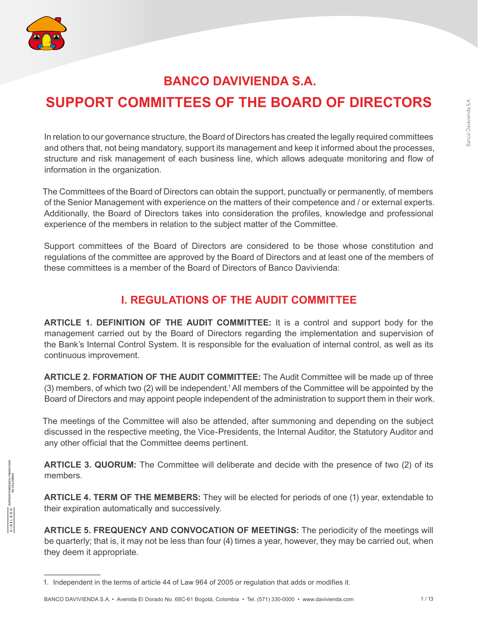

# **BANCO DAVIVIENDA S.A.**

# **SUPPORT COMMITTEES OF THE BOARD OF DIRECTORS**

In relation to our governance structure, the Board of Directors has created the legally required committees and others that, not being mandatory, support its management and keep it informed about the processes, structure and risk management of each business line, which allows adequate monitoring and flow of information in the organization.

The Committees of the Board of Directors can obtain the support, punctually or permanently, of members of the Senior Management with experience on the matters of their competence and / or external experts. Additionally, the Board of Directors takes into consideration the profiles, knowledge and professional experience of the members in relation to the subject matter of the Committee.

Support committees of the Board of Directors are considered to be those whose constitution and regulations of the committee are approved by the Board of Directors and at least one of the members of these committees is a member of the Board of Directors of Banco Davivienda:

# **I. REGULATIONS OF THE AUDIT COMMITTEE**

**ARTICLE 1. DEFINITION OF THE AUDIT COMMITTEE:** It is a control and support body for the management carried out by the Board of Directors regarding the implementation and supervision of the Bank's Internal Control System. It is responsible for the evaluation of internal control, as well as its continuous improvement.

**ARTICLE 2. FORMATION OF THE AUDIT COMMITTEE:** The Audit Committee will be made up of three (3) members, of which two (2) will be independent.1 All members of the Committee will be appointed by the Board of Directors and may appoint people independent of the administration to support them in their work.

The meetings of the Committee will also be attended, after summoning and depending on the subject discussed in the respective meeting, the Vice-Presidents, the Internal Auditor, the Statutory Auditor and any other official that the Committee deems pertinent.

**ARTICLE 3. QUORUM:** The Committee will deliberate and decide with the presence of two (2) of its members.

**ARTICLE 4. TERM OF THE MEMBERS:** They will be elected for periods of one (1) year, extendable to their expiration automatically and successively.

**ARTICLE 5. FREQUENCY AND CONVOCATION OF MEETINGS:** The periodicity of the meetings will be quarterly; that is, it may not be less than four (4) times a year, however, they may be carried out, when they deem it appropriate.

<sup>1.</sup> Independent in the terms of article 44 of Law 964 of 2005 or regulation that adds or modifies it.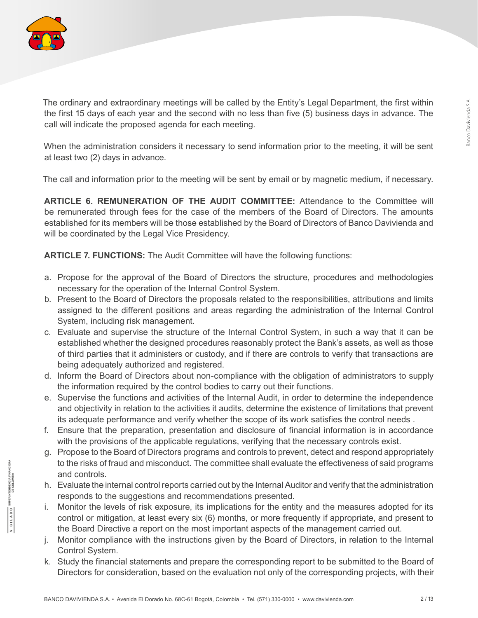

The ordinary and extraordinary meetings will be called by the Entity's Legal Department, the first within the first 15 days of each year and the second with no less than five (5) business days in advance. The call will indicate the proposed agenda for each meeting.

When the administration considers it necessary to send information prior to the meeting, it will be sent at least two (2) days in advance.

The call and information prior to the meeting will be sent by email or by magnetic medium, if necessary.

**ARTICLE 6. REMUNERATION OF THE AUDIT COMMITTEE:** Attendance to the Committee will be remunerated through fees for the case of the members of the Board of Directors. The amounts established for its members will be those established by the Board of Directors of Banco Davivienda and will be coordinated by the Legal Vice Presidency.

**ARTICLE 7. FUNCTIONS:** The Audit Committee will have the following functions:

- a. Propose for the approval of the Board of Directors the structure, procedures and methodologies necessary for the operation of the Internal Control System.
- b. Present to the Board of Directors the proposals related to the responsibilities, attributions and limits assigned to the different positions and areas regarding the administration of the Internal Control System, including risk management.
- c. Evaluate and supervise the structure of the Internal Control System, in such a way that it can be established whether the designed procedures reasonably protect the Bank's assets, as well as those of third parties that it administers or custody, and if there are controls to verify that transactions are being adequately authorized and registered.
- d. Inform the Board of Directors about non-compliance with the obligation of administrators to supply the information required by the control bodies to carry out their functions.
- e. Supervise the functions and activities of the Internal Audit, in order to determine the independence and objectivity in relation to the activities it audits, determine the existence of limitations that prevent its adequate performance and verify whether the scope of its work satisfies the control needs .
- f. Ensure that the preparation, presentation and disclosure of financial information is in accordance with the provisions of the applicable regulations, verifying that the necessary controls exist.
- g. Propose to the Board of Directors programs and controls to prevent, detect and respond appropriately to the risks of fraud and misconduct. The committee shall evaluate the effectiveness of said programs and controls.
- h. Evaluate the internal control reports carried out by the Internal Auditor and verify that the administration responds to the suggestions and recommendations presented.
- i. Monitor the levels of risk exposure, its implications for the entity and the measures adopted for its control or mitigation, at least every six (6) months, or more frequently if appropriate, and present to the Board Directive a report on the most important aspects of the management carried out.
- j. Monitor compliance with the instructions given by the Board of Directors, in relation to the Internal Control System.
- k. Study the financial statements and prepare the corresponding report to be submitted to the Board of Directors for consideration, based on the evaluation not only of the corresponding projects, with their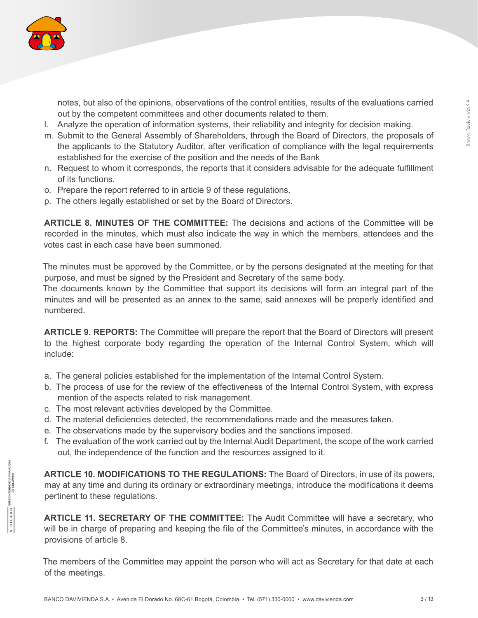

notes, but also of the opinions, observations of the control entities, results of the evaluations carried out by the competent committees and other documents related to them.

- l. Analyze the operation of information systems, their reliability and integrity for decision making.
- m. Submit to the General Assembly of Shareholders, through the Board of Directors, the proposals of the applicants to the Statutory Auditor, after verification of compliance with the legal requirements established for the exercise of the position and the needs of the Bank
- n. Request to whom it corresponds, the reports that it considers advisable for the adequate fulfillment of its functions.
- o. Prepare the report referred to in article 9 of these regulations.
- p. The others legally established or set by the Board of Directors.

**ARTICLE 8. MINUTES OF THE COMMITTEE:** The decisions and actions of the Committee will be recorded in the minutes, which must also indicate the way in which the members, attendees and the votes cast in each case have been summoned.

The minutes must be approved by the Committee, or by the persons designated at the meeting for that purpose, and must be signed by the President and Secretary of the same body.

The documents known by the Committee that support its decisions will form an integral part of the minutes and will be presented as an annex to the same, said annexes will be properly identified and numbered.

**ARTICLE 9. REPORTS:** The Committee will prepare the report that the Board of Directors will present to the highest corporate body regarding the operation of the Internal Control System, which will include:

- a. The general policies established for the implementation of the Internal Control System.
- b. The process of use for the review of the effectiveness of the Internal Control System, with express mention of the aspects related to risk management.
- c. The most relevant activities developed by the Committee.
- d. The material deficiencies detected, the recommendations made and the measures taken.
- e. The observations made by the supervisory bodies and the sanctions imposed.
- f. The evaluation of the work carried out by the Internal Audit Department, the scope of the work carried out, the independence of the function and the resources assigned to it.

**ARTICLE 10. MODIFICATIONS TO THE REGULATIONS:** The Board of Directors, in use of its powers, may at any time and during its ordinary or extraordinary meetings, introduce the modifications it deems pertinent to these regulations.

**ARTICLE 11. SECRETARY OF THE COMMITTEE:** The Audit Committee will have a secretary, who will be in charge of preparing and keeping the file of the Committee's minutes, in accordance with the provisions of article 8.

The members of the Committee may appoint the person who will act as Secretary for that date at each of the meetings.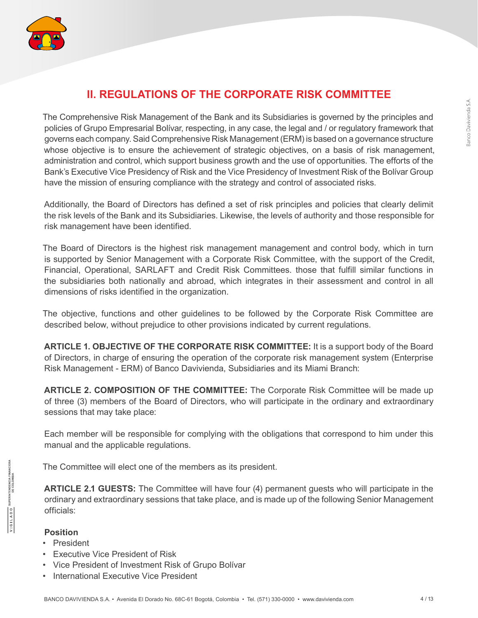

# **II. REGULATIONS OF THE CORPORATE RISK COMMITTEE**

The Comprehensive Risk Management of the Bank and its Subsidiaries is governed by the principles and policies of Grupo Empresarial Bolívar, respecting, in any case, the legal and / or regulatory framework that governs each company. Said Comprehensive Risk Management (ERM) is based on a governance structure whose objective is to ensure the achievement of strategic objectives, on a basis of risk management, administration and control, which support business growth and the use of opportunities. The efforts of the Bank's Executive Vice Presidency of Risk and the Vice Presidency of Investment Risk of the Bolívar Group have the mission of ensuring compliance with the strategy and control of associated risks.

Additionally, the Board of Directors has defined a set of risk principles and policies that clearly delimit the risk levels of the Bank and its Subsidiaries. Likewise, the levels of authority and those responsible for risk management have been identified.

The Board of Directors is the highest risk management management and control body, which in turn is supported by Senior Management with a Corporate Risk Committee, with the support of the Credit, Financial, Operational, SARLAFT and Credit Risk Committees. those that fulfill similar functions in the subsidiaries both nationally and abroad, which integrates in their assessment and control in all dimensions of risks identified in the organization.

The objective, functions and other guidelines to be followed by the Corporate Risk Committee are described below, without prejudice to other provisions indicated by current regulations.

**ARTICLE 1. OBJECTIVE OF THE CORPORATE RISK COMMITTEE:** It is a support body of the Board of Directors, in charge of ensuring the operation of the corporate risk management system (Enterprise Risk Management - ERM) of Banco Davivienda, Subsidiaries and its Miami Branch:

**ARTICLE 2. COMPOSITION OF THE COMMITTEE:** The Corporate Risk Committee will be made up of three (3) members of the Board of Directors, who will participate in the ordinary and extraordinary sessions that may take place:

Each member will be responsible for complying with the obligations that correspond to him under this manual and the applicable regulations.

The Committee will elect one of the members as its president.

**ARTICLE 2.1 GUESTS:** The Committee will have four (4) permanent guests who will participate in the ordinary and extraordinary sessions that take place, and is made up of the following Senior Management officials:

#### **Position**

 $\frac{\sqrt{1 \text{ G L A D O}}}{\sqrt{1 \text{ G L B A D O}}}\frac{\text{SupERINTERDENOLA FINANCIER}}{\text{DE COLOMBIA}}$ 

- President
- Executive Vice President of Risk
- Vice President of Investment Risk of Grupo Bolívar
- International Executive Vice President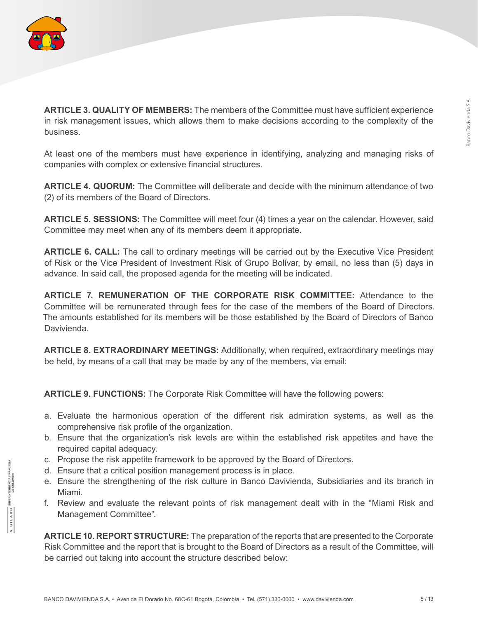

SUPERINTENDENCIA FINANCIER.<br>DE COLOMBIA

OUVILOIN

**ARTICLE 3. QUALITY OF MEMBERS:** The members of the Committee must have sufficient experience in risk management issues, which allows them to make decisions according to the complexity of the business.

At least one of the members must have experience in identifying, analyzing and managing risks of companies with complex or extensive financial structures.

**ARTICLE 4. QUORUM:** The Committee will deliberate and decide with the minimum attendance of two (2) of its members of the Board of Directors.

**ARTICLE 5. SESSIONS:** The Committee will meet four (4) times a year on the calendar. However, said Committee may meet when any of its members deem it appropriate.

**ARTICLE 6. CALL:** The call to ordinary meetings will be carried out by the Executive Vice President of Risk or the Vice President of Investment Risk of Grupo Bolívar, by email, no less than (5) days in advance. In said call, the proposed agenda for the meeting will be indicated.

**ARTICLE 7. REMUNERATION OF THE CORPORATE RISK COMMITTEE:** Attendance to the Committee will be remunerated through fees for the case of the members of the Board of Directors. The amounts established for its members will be those established by the Board of Directors of Banco Davivienda.

**ARTICLE 8. EXTRAORDINARY MEETINGS:** Additionally, when required, extraordinary meetings may be held, by means of a call that may be made by any of the members, via email:

**ARTICLE 9. FUNCTIONS:** The Corporate Risk Committee will have the following powers:

- a. Evaluate the harmonious operation of the different risk admiration systems, as well as the comprehensive risk profile of the organization.
- b. Ensure that the organization's risk levels are within the established risk appetites and have the required capital adequacy.
- c. Propose the risk appetite framework to be approved by the Board of Directors.
- d. Ensure that a critical position management process is in place.
- e. Ensure the strengthening of the risk culture in Banco Davivienda, Subsidiaries and its branch in Miami.
- f. Review and evaluate the relevant points of risk management dealt with in the "Miami Risk and Management Committee".

**ARTICLE 10. REPORT STRUCTURE:** The preparation of the reports that are presented to the Corporate Risk Committee and the report that is brought to the Board of Directors as a result of the Committee, will be carried out taking into account the structure described below: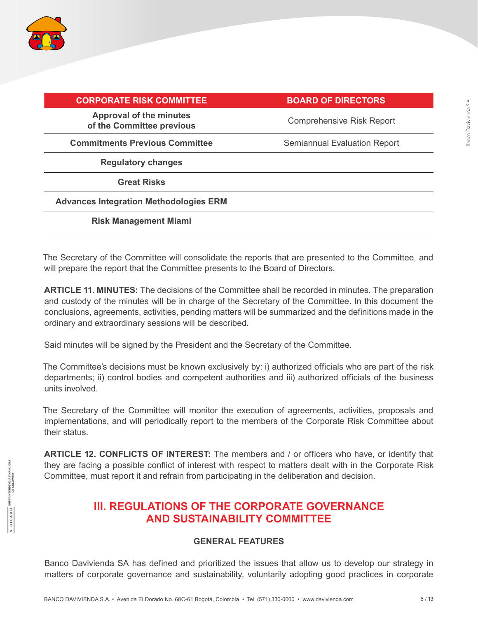

 $\overline{A \cup B} = \overline{B \cup B}$ 

| <b>BOARD OF DIRECTORS</b>           |
|-------------------------------------|
| <b>Comprehensive Risk Report</b>    |
| <b>Semiannual Evaluation Report</b> |
|                                     |
|                                     |
|                                     |
|                                     |
|                                     |

The Secretary of the Committee will consolidate the reports that are presented to the Committee, and will prepare the report that the Committee presents to the Board of Directors.

**ARTICLE 11. MINUTES:** The decisions of the Committee shall be recorded in minutes. The preparation and custody of the minutes will be in charge of the Secretary of the Committee. In this document the conclusions, agreements, activities, pending matters will be summarized and the definitions made in the ordinary and extraordinary sessions will be described.

Said minutes will be signed by the President and the Secretary of the Committee.

The Committee's decisions must be known exclusively by: i) authorized officials who are part of the risk departments; ii) control bodies and competent authorities and iii) authorized officials of the business units involved.

The Secretary of the Committee will monitor the execution of agreements, activities, proposals and implementations, and will periodically report to the members of the Corporate Risk Committee about their status.

**ARTICLE 12. CONFLICTS OF INTEREST:** The members and / or officers who have, or identify that they are facing a possible conflict of interest with respect to matters dealt with in the Corporate Risk Committee, must report it and refrain from participating in the deliberation and decision.

# **III. REGULATIONS OF THE CORPORATE GOVERNANCE AND SUSTAINABILITY COMMITTEE**

### **GENERAL FEATURES**

Banco Davivienda SA has defined and prioritized the issues that allow us to develop our strategy in matters of corporate governance and sustainability, voluntarily adopting good practices in corporate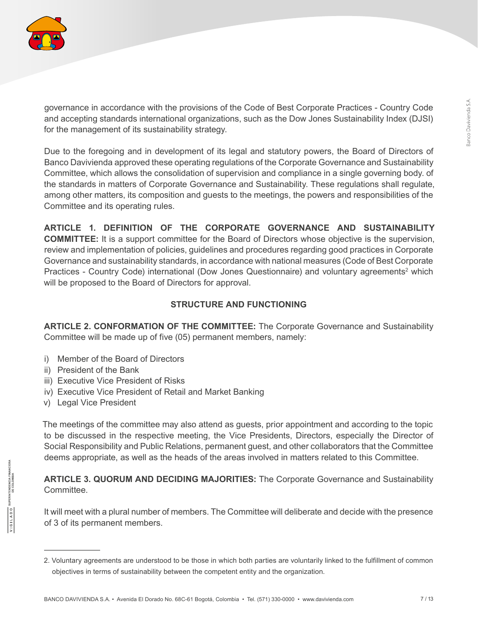

governance in accordance with the provisions of the Code of Best Corporate Practices - Country Code and accepting standards international organizations, such as the Dow Jones Sustainability Index (DJSI) for the management of its sustainability strategy.

Due to the foregoing and in development of its legal and statutory powers, the Board of Directors of Banco Davivienda approved these operating regulations of the Corporate Governance and Sustainability Committee, which allows the consolidation of supervision and compliance in a single governing body. of the standards in matters of Corporate Governance and Sustainability. These regulations shall regulate, among other matters, its composition and guests to the meetings, the powers and responsibilities of the Committee and its operating rules.

**ARTICLE 1. DEFINITION OF THE CORPORATE GOVERNANCE AND SUSTAINABILITY COMMITTEE:** It is a support committee for the Board of Directors whose objective is the supervision, review and implementation of policies, guidelines and procedures regarding good practices in Corporate Governance and sustainability standards, in accordance with national measures (Code of Best Corporate Practices - Country Code) international (Dow Jones Questionnaire) and voluntary agreements<sup>2</sup> which will be proposed to the Board of Directors for approval.

# **STRUCTURE AND FUNCTIONING**

**ARTICLE 2. CONFORMATION OF THE COMMITTEE:** The Corporate Governance and Sustainability Committee will be made up of five (05) permanent members, namely:

- i) Member of the Board of Directors
- ii) President of the Bank
- iii) Executive Vice President of Risks
- iv) Executive Vice President of Retail and Market Banking
- v) Legal Vice President

The meetings of the committee may also attend as guests, prior appointment and according to the topic to be discussed in the respective meeting, the Vice Presidents, Directors, especially the Director of Social Responsibility and Public Relations, permanent guest, and other collaborators that the Committee deems appropriate, as well as the heads of the areas involved in matters related to this Committee.

**ARTICLE 3. QUORUM AND DECIDING MAJORITIES:** The Corporate Governance and Sustainability Committee.

It will meet with a plural number of members. The Committee will deliberate and decide with the presence of 3 of its permanent members.

<sup>2.</sup> Voluntary agreements are understood to be those in which both parties are voluntarily linked to the fulfillment of common objectives in terms of sustainability between the competent entity and the organization.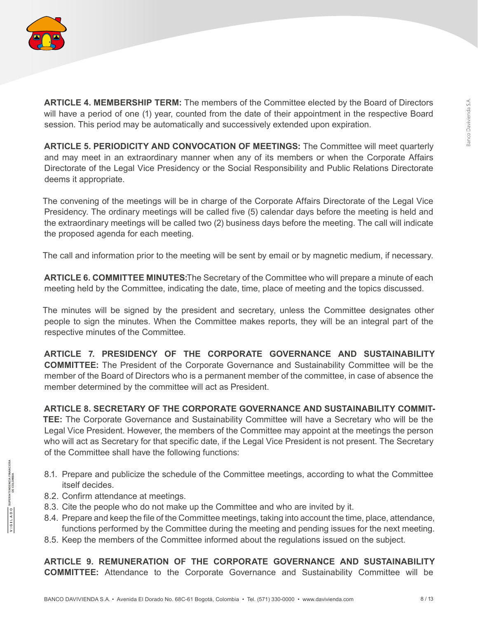

**ARTICLE 4. MEMBERSHIP TERM:** The members of the Committee elected by the Board of Directors will have a period of one (1) year, counted from the date of their appointment in the respective Board session. This period may be automatically and successively extended upon expiration.

**ARTICLE 5. PERIODICITY AND CONVOCATION OF MEETINGS:** The Committee will meet quarterly and may meet in an extraordinary manner when any of its members or when the Corporate Affairs Directorate of the Legal Vice Presidency or the Social Responsibility and Public Relations Directorate deems it appropriate.

The convening of the meetings will be in charge of the Corporate Affairs Directorate of the Legal Vice Presidency. The ordinary meetings will be called five (5) calendar days before the meeting is held and the extraordinary meetings will be called two (2) business days before the meeting. The call will indicate the proposed agenda for each meeting.

The call and information prior to the meeting will be sent by email or by magnetic medium, if necessary.

**ARTICLE 6. COMMITTEE MINUTES:**The Secretary of the Committee who will prepare a minute of each meeting held by the Committee, indicating the date, time, place of meeting and the topics discussed.

The minutes will be signed by the president and secretary, unless the Committee designates other people to sign the minutes. When the Committee makes reports, they will be an integral part of the respective minutes of the Committee.

**ARTICLE 7. PRESIDENCY OF THE CORPORATE GOVERNANCE AND SUSTAINABILITY COMMITTEE:** The President of the Corporate Governance and Sustainability Committee will be the member of the Board of Directors who is a permanent member of the committee, in case of absence the member determined by the committee will act as President.

### **ARTICLE 8. SECRETARY OF THE CORPORATE GOVERNANCE AND SUSTAINABILITY COMMIT-**

**TEE:** The Corporate Governance and Sustainability Committee will have a Secretary who will be the Legal Vice President. However, the members of the Committee may appoint at the meetings the person who will act as Secretary for that specific date, if the Legal Vice President is not present. The Secretary of the Committee shall have the following functions:

- 8.1. Prepare and publicize the schedule of the Committee meetings, according to what the Committee itself decides.
- 8.2. Confirm attendance at meetings.
- 8.3. Cite the people who do not make up the Committee and who are invited by it.
- 8.4. Prepare and keep the file of the Committee meetings, taking into account the time, place, attendance, functions performed by the Committee during the meeting and pending issues for the next meeting.
- 8.5. Keep the members of the Committee informed about the regulations issued on the subject.

**ARTICLE 9. REMUNERATION OF THE CORPORATE GOVERNANCE AND SUSTAINABILITY COMMITTEE:** Attendance to the Corporate Governance and Sustainability Committee will be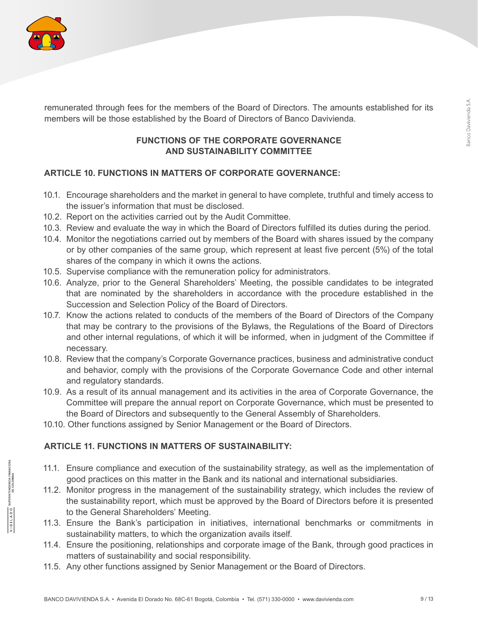

SUPERINTENDENCIA FINAI<br>DE COLOMBIA

OQVIDUA

remunerated through fees for the members of the Board of Directors. The amounts established for its members will be those established by the Board of Directors of Banco Davivienda.

# **FUNCTIONS OF THE CORPORATE GOVERNANCE AND SUSTAINABILITY COMMITTEE**

# **ARTICLE 10. FUNCTIONS IN MATTERS OF CORPORATE GOVERNANCE:**

- 10.1. Encourage shareholders and the market in general to have complete, truthful and timely access to the issuer's information that must be disclosed.
- 10.2. Report on the activities carried out by the Audit Committee.
- 10.3. Review and evaluate the way in which the Board of Directors fulfilled its duties during the period.
- 10.4. Monitor the negotiations carried out by members of the Board with shares issued by the company or by other companies of the same group, which represent at least five percent (5%) of the total shares of the company in which it owns the actions.
- 10.5. Supervise compliance with the remuneration policy for administrators.
- 10.6. Analyze, prior to the General Shareholders' Meeting, the possible candidates to be integrated that are nominated by the shareholders in accordance with the procedure established in the Succession and Selection Policy of the Board of Directors.
- 10.7. Know the actions related to conducts of the members of the Board of Directors of the Company that may be contrary to the provisions of the Bylaws, the Regulations of the Board of Directors and other internal regulations, of which it will be informed, when in judgment of the Committee if necessary.
- 10.8. Review that the company's Corporate Governance practices, business and administrative conduct and behavior, comply with the provisions of the Corporate Governance Code and other internal and regulatory standards.
- 10.9. As a result of its annual management and its activities in the area of Corporate Governance, the Committee will prepare the annual report on Corporate Governance, which must be presented to the Board of Directors and subsequently to the General Assembly of Shareholders.
- 10.10. Other functions assigned by Senior Management or the Board of Directors.

# **ARTICLE 11. FUNCTIONS IN MATTERS OF SUSTAINABILITY:**

- 11.1. Ensure compliance and execution of the sustainability strategy, as well as the implementation of good practices on this matter in the Bank and its national and international subsidiaries.
- 11.2. Monitor progress in the management of the sustainability strategy, which includes the review of the sustainability report, which must be approved by the Board of Directors before it is presented to the General Shareholders' Meeting.
- 11.3. Ensure the Bank's participation in initiatives, international benchmarks or commitments in sustainability matters, to which the organization avails itself.
- 11.4. Ensure the positioning, relationships and corporate image of the Bank, through good practices in matters of sustainability and social responsibility.
- 11.5. Any other functions assigned by Senior Management or the Board of Directors.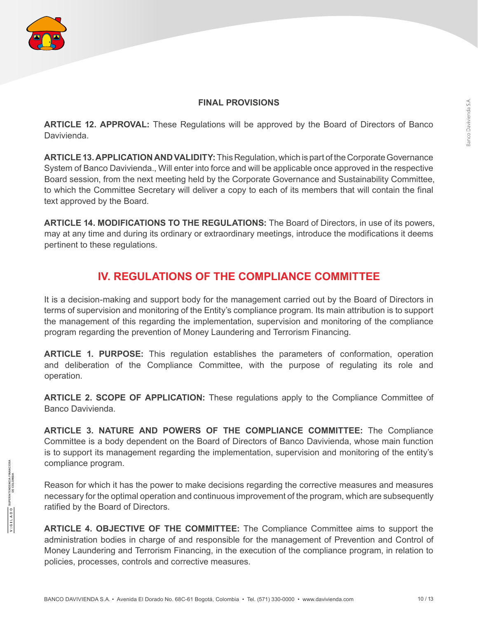$\frac{\sqrt{1 \text{ G L L A D O}}}{}$ 

#### **FINAL PROVISIONS**

ARTICLE 12. APPROVAL: These Regulations will be approved by the Board of Directors of Banco Davivienda.

**ARTICLE 13. APPLICATION AND VALIDITY:** This Regulation, which is part of the Corporate Governance System of Banco Davivienda., Will enter into force and will be applicable once approved in the respective Board session, from the next meeting held by the Corporate Governance and Sustainability Committee, to which the Committee Secretary will deliver a copy to each of its members that will contain the final text approved by the Board.

**ARTICLE 14. MODIFICATIONS TO THE REGULATIONS:** The Board of Directors, in use of its powers, may at any time and during its ordinary or extraordinary meetings, introduce the modifications it deems pertinent to these regulations.

# **IV. REGULATIONS OF THE COMPLIANCE COMMITTEE**

It is a decision-making and support body for the management carried out by the Board of Directors in terms of supervision and monitoring of the Entity's compliance program. Its main attribution is to support the management of this regarding the implementation, supervision and monitoring of the compliance program regarding the prevention of Money Laundering and Terrorism Financing.

**ARTICLE 1. PURPOSE:** This regulation establishes the parameters of conformation, operation and deliberation of the Compliance Committee, with the purpose of regulating its role and operation.

**ARTICLE 2. SCOPE OF APPLICATION:** These regulations apply to the Compliance Committee of Banco Davivienda.

**ARTICLE 3. NATURE AND POWERS OF THE COMPLIANCE COMMITTEE:** The Compliance Committee is a body dependent on the Board of Directors of Banco Davivienda, whose main function is to support its management regarding the implementation, supervision and monitoring of the entity's compliance program.

Reason for which it has the power to make decisions regarding the corrective measures and measures necessary for the optimal operation and continuous improvement of the program, which are subsequently ratified by the Board of Directors.

**ARTICLE 4. OBJECTIVE OF THE COMMITTEE:** The Compliance Committee aims to support the administration bodies in charge of and responsible for the management of Prevention and Control of Money Laundering and Terrorism Financing, in the execution of the compliance program, in relation to policies, processes, controls and corrective measures.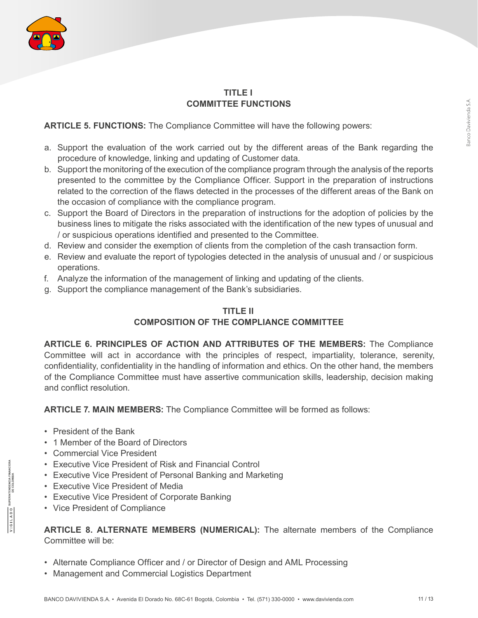

### **TITLE I COMMITTEE FUNCTIONS**

**ARTICLE 5. FUNCTIONS:** The Compliance Committee will have the following powers:

- a. Support the evaluation of the work carried out by the different areas of the Bank regarding the procedure of knowledge, linking and updating of Customer data.
- b. Support the monitoring of the execution of the compliance program through the analysis of the reports presented to the committee by the Compliance Officer. Support in the preparation of instructions related to the correction of the flaws detected in the processes of the different areas of the Bank on the occasion of compliance with the compliance program.
- c. Support the Board of Directors in the preparation of instructions for the adoption of policies by the business lines to mitigate the risks associated with the identification of the new types of unusual and / or suspicious operations identified and presented to the Committee.
- d. Review and consider the exemption of clients from the completion of the cash transaction form.
- e. Review and evaluate the report of typologies detected in the analysis of unusual and / or suspicious operations.
- f. Analyze the information of the management of linking and updating of the clients.
- g. Support the compliance management of the Bank's subsidiaries.

# **TITLE II**

# **COMPOSITION OF THE COMPLIANCE COMMITTEE**

**ARTICLE 6. PRINCIPLES OF ACTION AND ATTRIBUTES OF THE MEMBERS:** The Compliance Committee will act in accordance with the principles of respect, impartiality, tolerance, serenity, confidentiality, confidentiality in the handling of information and ethics. On the other hand, the members of the Compliance Committee must have assertive communication skills, leadership, decision making and conflict resolution.

**ARTICLE 7. MAIN MEMBERS:** The Compliance Committee will be formed as follows:

- President of the Bank
- 1 Member of the Board of Directors
- Commercial Vice President
- Executive Vice President of Risk and Financial Control
- Executive Vice President of Personal Banking and Marketing
- Executive Vice President of Media
- Executive Vice President of Corporate Banking
- Vice President of Compliance

**ARTICLE 8. ALTERNATE MEMBERS (NUMERICAL):** The alternate members of the Compliance Committee will be:

- Alternate Compliance Officer and / or Director of Design and AML Processing
- Management and Commercial Logistics Department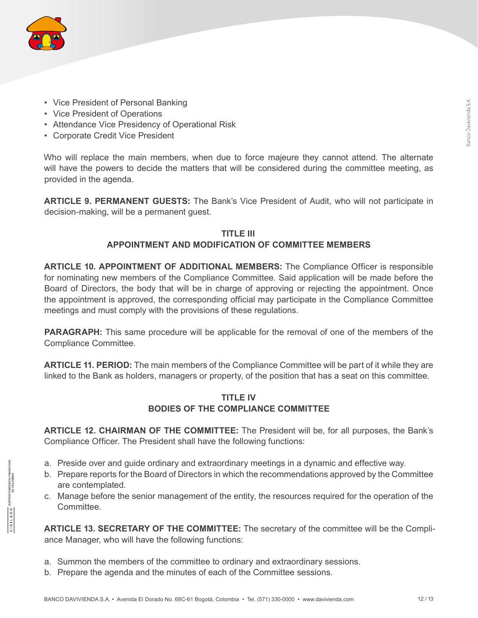

- Vice President of Personal Banking
- Vice President of Operations
- Attendance Vice Presidency of Operational Risk
- Corporate Credit Vice President

Who will replace the main members, when due to force majeure they cannot attend. The alternate will have the powers to decide the matters that will be considered during the committee meeting, as provided in the agenda.

**ARTICLE 9. PERMANENT GUESTS:** The Bank's Vice President of Audit, who will not participate in decision-making, will be a permanent guest.

### **TITLE III APPOINTMENT AND MODIFICATION OF COMMITTEE MEMBERS**

**ARTICLE 10. APPOINTMENT OF ADDITIONAL MEMBERS:** The Compliance Officer is responsible for nominating new members of the Compliance Committee. Said application will be made before the Board of Directors, the body that will be in charge of approving or rejecting the appointment. Once the appointment is approved, the corresponding official may participate in the Compliance Committee meetings and must comply with the provisions of these regulations.

**PARAGRAPH:** This same procedure will be applicable for the removal of one of the members of the Compliance Committee.

**ARTICLE 11. PERIOD:** The main members of the Compliance Committee will be part of it while they are linked to the Bank as holders, managers or property, of the position that has a seat on this committee.

### **TITLE IV BODIES OF THE COMPLIANCE COMMITTEE**

**ARTICLE 12. CHAIRMAN OF THE COMMITTEE:** The President will be, for all purposes, the Bank's Compliance Officer. The President shall have the following functions:

- a. Preside over and guide ordinary and extraordinary meetings in a dynamic and effective way.
- b. Prepare reports for the Board of Directors in which the recommendations approved by the Committee are contemplated.
- c. Manage before the senior management of the entity, the resources required for the operation of the **Committee.**

**ARTICLE 13. SECRETARY OF THE COMMITTEE:** The secretary of the committee will be the Compliance Manager, who will have the following functions:

- a. Summon the members of the committee to ordinary and extraordinary sessions.
- b. Prepare the agenda and the minutes of each of the Committee sessions.